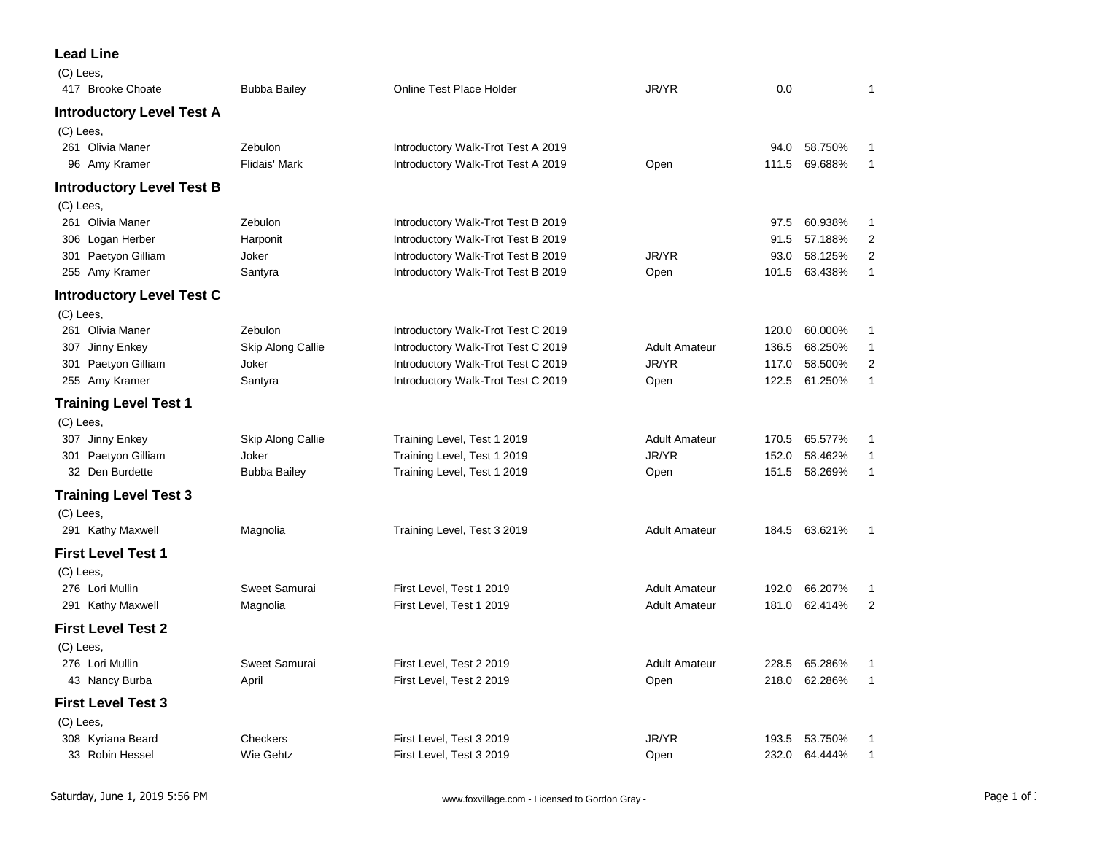## **Lead Line**  $\sqrt{C}$

| $(C)$ Lees                       |                      |                                    |                      |       |               |                |
|----------------------------------|----------------------|------------------------------------|----------------------|-------|---------------|----------------|
| 417 Brooke Choate                | <b>Bubba Bailey</b>  | Online Test Place Holder           | JR/YR                | 0.0   |               | 1              |
| <b>Introductory Level Test A</b> |                      |                                    |                      |       |               |                |
| $(C)$ Lees,                      |                      |                                    |                      |       |               |                |
| 261 Olivia Maner                 | Zebulon              | Introductory Walk-Trot Test A 2019 |                      | 94.0  | 58.750%       | 1              |
| 96 Amy Kramer                    | <b>Flidais' Mark</b> | Introductory Walk-Trot Test A 2019 | Open                 | 111.5 | 69.688%       | $\mathbf{1}$   |
| <b>Introductory Level Test B</b> |                      |                                    |                      |       |               |                |
| $(C)$ Lees,                      |                      |                                    |                      |       |               |                |
| 261 Olivia Maner                 | Zebulon              | Introductory Walk-Trot Test B 2019 |                      | 97.5  | 60.938%       | 1              |
| 306 Logan Herber                 | Harponit             | Introductory Walk-Trot Test B 2019 |                      | 91.5  | 57.188%       | 2              |
| 301 Paetyon Gilliam              | Joker                | Introductory Walk-Trot Test B 2019 | JR/YR                | 93.0  | 58.125%       | $\overline{2}$ |
| 255 Amy Kramer                   | Santyra              | Introductory Walk-Trot Test B 2019 | Open                 | 101.5 | 63.438%       | $\mathbf{1}$   |
| <b>Introductory Level Test C</b> |                      |                                    |                      |       |               |                |
| (C) Lees,                        |                      |                                    |                      |       |               |                |
| 261 Olivia Maner                 | Zebulon              | Introductory Walk-Trot Test C 2019 |                      | 120.0 | 60.000%       | 1              |
| 307 Jinny Enkey                  | Skip Along Callie    | Introductory Walk-Trot Test C 2019 | <b>Adult Amateur</b> | 136.5 | 68.250%       | 1              |
| 301 Paetyon Gilliam              | Joker                | Introductory Walk-Trot Test C 2019 | JR/YR                | 117.0 | 58.500%       | 2              |
| 255 Amy Kramer                   | Santyra              | Introductory Walk-Trot Test C 2019 | Open                 | 122.5 | 61.250%       | $\mathbf{1}$   |
| <b>Training Level Test 1</b>     |                      |                                    |                      |       |               |                |
| $(C)$ Lees,                      |                      |                                    |                      |       |               |                |
| 307 Jinny Enkey                  | Skip Along Callie    | Training Level, Test 1 2019        | <b>Adult Amateur</b> | 170.5 | 65.577%       | 1              |
| 301 Paetyon Gilliam              | Joker                | Training Level, Test 1 2019        | JR/YR                | 152.0 | 58.462%       | $\mathbf{1}$   |
| 32 Den Burdette                  | <b>Bubba Bailey</b>  | Training Level, Test 1 2019        | Open                 | 151.5 | 58.269%       | $\mathbf{1}$   |
| <b>Training Level Test 3</b>     |                      |                                    |                      |       |               |                |
| (C) Lees,                        |                      |                                    |                      |       |               |                |
| 291 Kathy Maxwell                | Magnolia             | Training Level, Test 3 2019        | <b>Adult Amateur</b> |       | 184.5 63.621% | 1              |
| <b>First Level Test 1</b>        |                      |                                    |                      |       |               |                |
| (C) Lees,                        |                      |                                    |                      |       |               |                |
| 276 Lori Mullin                  | Sweet Samurai        | First Level, Test 1 2019           | <b>Adult Amateur</b> | 192.0 | 66.207%       | 1              |
| 291 Kathy Maxwell                | Magnolia             | First Level, Test 1 2019           | <b>Adult Amateur</b> | 181.0 | 62.414%       | 2              |
| <b>First Level Test 2</b>        |                      |                                    |                      |       |               |                |
| (C) Lees,                        |                      |                                    |                      |       |               |                |
| 276 Lori Mullin                  | Sweet Samurai        | First Level, Test 2 2019           | <b>Adult Amateur</b> | 228.5 | 65.286%       | 1              |
| 43 Nancy Burba                   | April                | First Level, Test 2 2019           | Open                 | 218.0 | 62.286%       | $\mathbf{1}$   |
| <b>First Level Test 3</b>        |                      |                                    |                      |       |               |                |
| $(C)$ Lees,                      |                      |                                    |                      |       |               |                |
| 308 Kyriana Beard                | Checkers             | First Level, Test 3 2019           | JR/YR                | 193.5 | 53.750%       | 1              |
| 33 Robin Hessel                  | Wie Gehtz            | First Level, Test 3 2019           | Open                 | 232.0 | 64.444%       | 1              |
|                                  |                      |                                    |                      |       |               |                |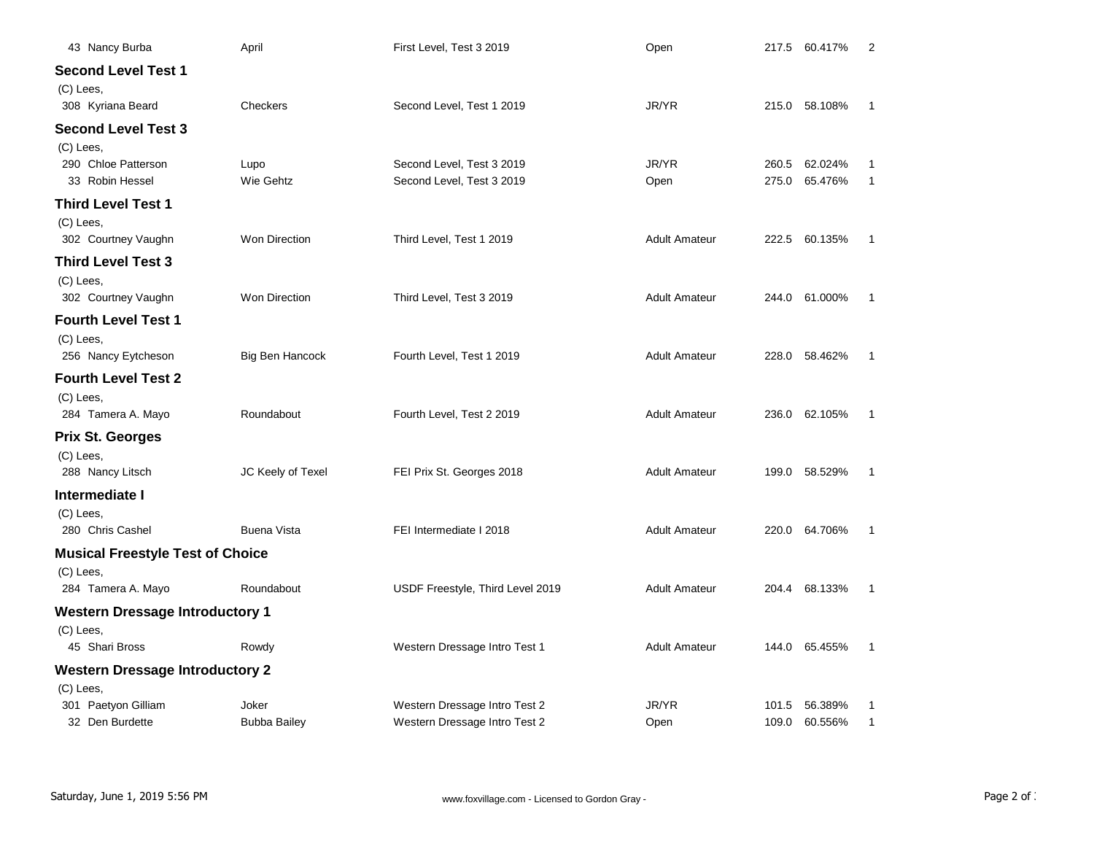| 43 Nancy Burba                          | April                | First Level, Test 3 2019         | Open                 | 217.5 60.417%<br>2               |
|-----------------------------------------|----------------------|----------------------------------|----------------------|----------------------------------|
| <b>Second Level Test 1</b>              |                      |                                  |                      |                                  |
| (C) Lees,                               |                      |                                  |                      |                                  |
| 308 Kyriana Beard                       | Checkers             | Second Level, Test 1 2019        | JR/YR                | 215.0 58.108%<br>-1              |
| <b>Second Level Test 3</b>              |                      |                                  |                      |                                  |
| (C) Lees,                               |                      |                                  |                      |                                  |
| 290 Chloe Patterson                     | Lupo                 | Second Level, Test 3 2019        | JR/YR                | 62.024%<br>260.5<br>-1           |
| 33 Robin Hessel                         | Wie Gehtz            | Second Level, Test 3 2019        | Open                 | 275.0<br>65.476%<br>1            |
| <b>Third Level Test 1</b>               |                      |                                  |                      |                                  |
| (C) Lees,                               |                      |                                  |                      |                                  |
| 302 Courtney Vaughn                     | <b>Won Direction</b> | Third Level, Test 1 2019         | <b>Adult Amateur</b> | 222.5<br>60.135%<br>-1           |
| Third Level Test 3                      |                      |                                  |                      |                                  |
| (C) Lees,                               |                      |                                  |                      |                                  |
| 302 Courtney Vaughn                     | <b>Won Direction</b> | Third Level, Test 3 2019         | <b>Adult Amateur</b> | 244.0<br>61.000%<br>1            |
| <b>Fourth Level Test 1</b>              |                      |                                  |                      |                                  |
| $(C)$ Lees,                             |                      |                                  |                      |                                  |
| 256 Nancy Eytcheson                     | Big Ben Hancock      | Fourth Level, Test 1 2019        | <b>Adult Amateur</b> | 228.0<br>58.462%<br>$\mathbf{1}$ |
| <b>Fourth Level Test 2</b>              |                      |                                  |                      |                                  |
| (C) Lees,                               |                      |                                  |                      |                                  |
| 284 Tamera A. Mayo                      | Roundabout           | Fourth Level, Test 2 2019        | <b>Adult Amateur</b> | 236.0 62.105%<br>1               |
| <b>Prix St. Georges</b>                 |                      |                                  |                      |                                  |
| (C) Lees,                               |                      |                                  |                      |                                  |
| 288 Nancy Litsch                        | JC Keely of Texel    | FEI Prix St. Georges 2018        | <b>Adult Amateur</b> | 199.0<br>58.529%<br>$\mathbf{1}$ |
| Intermediate I                          |                      |                                  |                      |                                  |
| (C) Lees,                               |                      |                                  |                      |                                  |
| 280 Chris Cashel                        | <b>Buena Vista</b>   | FEI Intermediate I 2018          | <b>Adult Amateur</b> | 220.0 64.706%<br>$\mathbf{1}$    |
| <b>Musical Freestyle Test of Choice</b> |                      |                                  |                      |                                  |
| $(C)$ Lees,                             |                      |                                  |                      |                                  |
| 284 Tamera A. Mayo                      | Roundabout           | USDF Freestyle, Third Level 2019 | <b>Adult Amateur</b> | 204.4 68.133%<br>1               |
| <b>Western Dressage Introductory 1</b>  |                      |                                  |                      |                                  |
| (C) Lees,                               |                      |                                  |                      |                                  |
| 45 Shari Bross                          | Rowdy                | Western Dressage Intro Test 1    | <b>Adult Amateur</b> | 144.0 65.455%<br>1               |
| <b>Western Dressage Introductory 2</b>  |                      |                                  |                      |                                  |
| $(C)$ Lees,                             |                      |                                  |                      |                                  |
| 301 Paetyon Gilliam                     | Joker                | Western Dressage Intro Test 2    | JR/YR                | 101.5<br>56.389%<br>1            |
| 32 Den Burdette                         | <b>Bubba Bailey</b>  | Western Dressage Intro Test 2    | Open                 | 109.0<br>$\mathbf{1}$<br>60.556% |